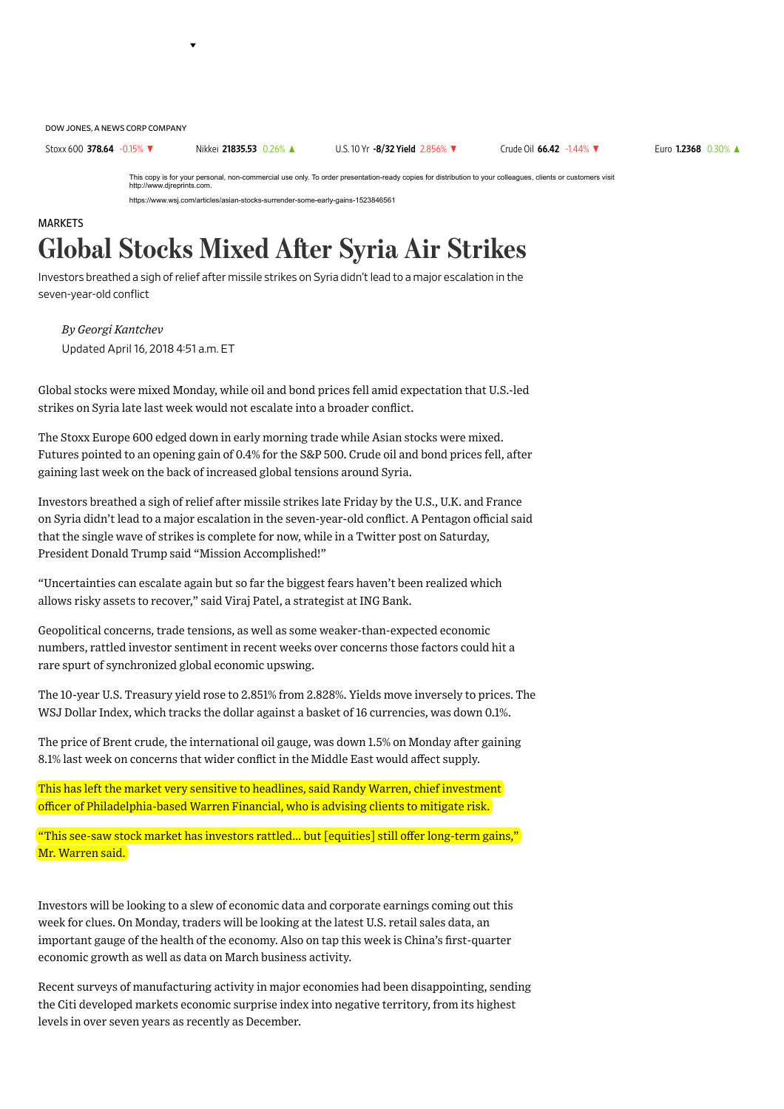DOW JONES, A NEWS CORP COMPANY

Stoxx 600 [378.64](http://quotes.wsj.com/index/XX/SXXP) -0.15% ▼ Nikkei [21835.53](http://quotes.wsj.com/index/JP/NIK) 0.26% ▲ U.S.10 Yr -8/32 Yield [2.856%](http://quotes.wsj.com/bond/BX/TMUBMUSD10Y) ▼ Crude Oil 66.42 [-1.44%](http://quotes.wsj.com/futures/Crude%20Oil%20-%20Electronic) ▼ Euro [1.2368](http://quotes.wsj.com/fx/EURUSD) 0.30% ▲

This copy is for your personal, non-commercial use only. To order presentation-ready copies for distribution to your colleagues, clients or customers visit http://www.djreprints.com.

https://www.wsj.com/articles/asian-stocks-surrender-some-early-gains-1523846561

## **MARKFTS** Global Stocks Mixed After Syria Air Strikes

Investors breathed a sigh of relief after missile strikes on Syria didn't lead to a major escalation in the seven-year-old conflict

Updated April 16, 2018 451 a.m. ET *By Georgi Kantchev*

Global stocks were mixed Monday, while oil and bond prices fell amid [expectation](https://www.wsj.com/articles/trump-bowed-to-pentagon-restraint-on-syria-strikes-1523837509) that U.S.-led strikes on Syria late last week would not escalate into a broader conflict.

The Stoxx Europe 600 edged down in early morning trade while Asian stocks were mixed. Futures pointed to an opening gain of 0.4% for the S&P 500. Crude oil and bond prices fell, after gaining last week on the back of increased global tensions around Syria.

Investors breathed a sigh of relief after missile strikes late Friday by the U.S., U.K. and France on Syria didn't lead to a major escalation in the seven-year-old conflict. A Pentagon official said that the single wave of strikes is complete for now, while in a [Twitter](http://quotes.wsj.com/TWTR) post on Saturday, President Donald Trump said "Mission [Accomplished!"](https://www.wsj.com/articles/trump-doubles-down-on-mission-accomplished-1523807762)

"Uncertainties can escalate again but so far the biggest fears haven't been realized which allows risky assets to recover," said Viraj Patel, a strategist at ING Bank.

Geopolitical concerns, trade tensions, as well as some weaker-than-expected economic numbers, rattled investor sentiment in recent weeks over concerns those factors could hit a rare spurt of synchronized global economic upswing.

The 10-year U.S. Treasury yield rose to 2.851% from 2.828%. Yields move inversely to prices. The WSJ Dollar Index, which tracks the dollar against a basket of 16 currencies, was down 0.1%.

The price of Brent crude, the international oil gauge, was down 1.5% on Monday after gaining 8.1% last week on concerns that wider conflict in the Middle East would affect supply.

This has left the market very sensitive to headlines, said Randy Warren, chief investment officer of Philadelphia-based Warren Financial, who is advising clients to mitigate risk.

"This see-saw stock market has investors rattled… but [equities] still offer long-term gains," Mr. Warren said.

Investors will be looking to a slew of economic data and corporate earnings coming out this week for clues. On Monday, traders will be looking at the latest U.S. retail sales data, an important gauge of the health of the economy. Also on tap this week is China's first-quarter economic growth as well as data on March business activity.

Recent surveys of manufacturing activity in major economies had been disappointing, sending the Citi developed markets economic surprise index into negative territory, from its highest levels in over seven years as recently as December.